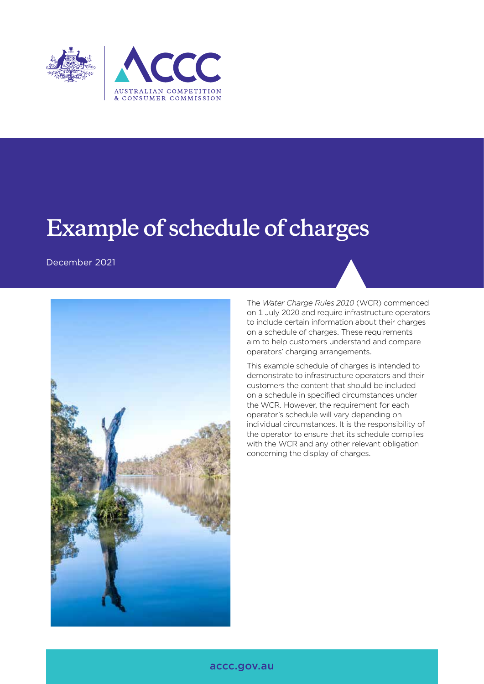

# **Example of schedule of charges**

December 2021



The *Water Charge Rules 2010* (WCR) commenced on 1 July 2020 and require infrastructure operators to include certain information about their charges on a schedule of charges. These requirements aim to help customers understand and compare operators' charging arrangements.

This example schedule of charges is intended to demonstrate to infrastructure operators and their customers the content that should be included on a schedule in specified circumstances under the WCR. However, the requirement for each operator's schedule will vary depending on individual circumstances. It is the responsibility of the operator to ensure that its schedule complies with the WCR and any other relevant obligation concerning the display of charges.

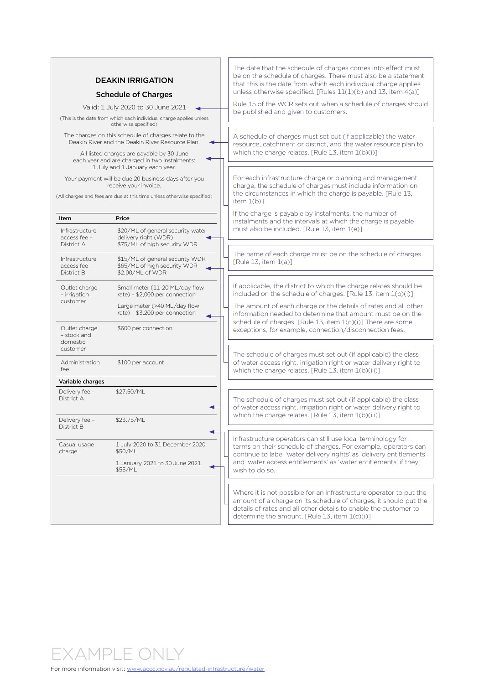| <b>DEAKIN IRRIGATION</b>           |  |
|------------------------------------|--|
| <b>Schedule of Charges</b>         |  |
| Valid: 1 July 2020 to 30 June 2021 |  |

(This is the date from which each individual charge applies unless otherwise specified)

The charges on this schedule of charges relate to the Deakin River and the Deakin River Resource Plan.

All listed charges are payable by 30 June each year and are charged in two instalments: 1 July and 1 January each year.

Your payment will be due 20 business days after you receive your invoice.

(All charges and fees are due at this time unless otherwise specified)

| Infrastructure<br>access fee -<br>District A<br>Infrastructure<br>access fee -<br>District B<br>Outlet charge<br>- irrigation<br>customer | \$20/ML of general security water<br>delivery right (WDR)<br>\$75/ML of high security WDR<br>\$15/ML of general security WDR<br>\$65/ML of high security WDR<br>\$2.00/ML of WDR | instalme<br>must als<br>The nam<br><b>FRule 13</b>         |
|-------------------------------------------------------------------------------------------------------------------------------------------|----------------------------------------------------------------------------------------------------------------------------------------------------------------------------------|------------------------------------------------------------|
|                                                                                                                                           |                                                                                                                                                                                  |                                                            |
|                                                                                                                                           |                                                                                                                                                                                  |                                                            |
|                                                                                                                                           | Small meter (11-20 ML/day flow<br>rate) - \$2,000 per connection<br>Large meter (>40 ML/day flow<br>rate) - \$3,200 per connection                                               | If applica<br>includec<br>The amo<br>informat              |
| Outlet charge<br>- stock and<br>domestic<br>customer                                                                                      | \$600 per connection                                                                                                                                                             | schedule<br>exceptic<br>The sche                           |
| Administration<br>fee                                                                                                                     | \$100 per account                                                                                                                                                                | of water<br>which th                                       |
| Variable charges                                                                                                                          |                                                                                                                                                                                  |                                                            |
| Delivery fee -<br>District A                                                                                                              | \$27.50/ML                                                                                                                                                                       | The sche<br>of water<br>which th                           |
| Delivery fee -<br>District B                                                                                                              | \$23.75/ML                                                                                                                                                                       |                                                            |
| Casual usage<br>charge                                                                                                                    | 1 July 2020 to 31 December 2020<br>\$50/ML<br>1 January 2021 to 30 June 2021<br>\$55/ML                                                                                          | Infrastru<br>terms or<br>continue<br>and 'wat<br>wish to a |

The date that the schedule of charges comes into effect must be on the schedule of charges. There must also be a statement that this is the date from which each individual charge applies unless otherwise specified. [Rules 11(1)(b) and 13, item 4(a)]

Rule 15 of the WCR sets out when a schedule of charges should be published and given to customers.

A schedule of charges must set out (if applicable) the water resource, catchment or district, and the water resource plan to which the charge relates. [Rule 13, item 1(b)(i)]

For each infrastructure charge or planning and management charge, the schedule of charges must include information on the circumstances in which the charge is payable. [Rule 13, item 1(b)]

If the charge is payable by instalments, the number of ents and the intervals at which the charge is payable so be included. [Rule  $13$ , item  $1(e)$ ]

ne of each charge must be on the schedule of charges.  $[8, 12, 12]$ 

able, the district to which the charge relates should be d on the schedule of charges. [Rule 13, item 1(b)(i)]

ount of each charge or the details of rates and all other tion needed to determine that amount must be on the e of charges. [Rule 13, item 1(c)(i)] There are some ons, for example, connection/disconnection fees.

edule of charges must set out (if applicable) the class access right, irrigation right or water delivery right to ne charge relates. [Rule 13, item 1(b)(iii)]

edule of charges must set out (if applicable) the class access right, irrigation right or water delivery right to ne charge relates. [Rule 13, item 1(b)(iii)]

Infrastructure operators can still use local terminology fo<mark>r</mark> n their schedule of charges. For example, operators can e to label 'water delivery rights' as 'delivery entitlements' ter access entitlements' as 'water entitlements' if they do so.

t is not possible for an infrastructure operator to put the of a charge on its schedule of charges, it should put the of rates and all other details to enable the customer to determine the amount. [Rule 13, item 1(c)(i)]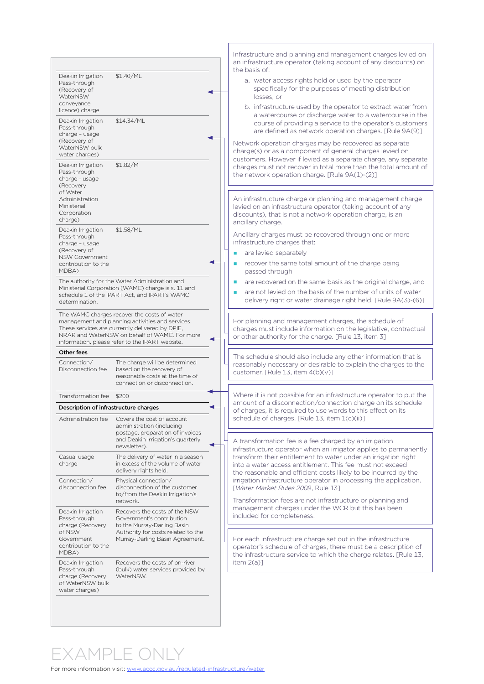| Deakin Irrigation<br>Pass-through<br>(Recovery of<br>WaterNSW<br>conveyance<br>licence) charge<br>Deakin Irrigation<br>Pass-through<br>charge - usage | \$1.40/ML<br>\$14.34/ML                                                                                                                                                                                                                                |                                    |                                                                                                                                 | Infrastructure and planning and management charges levied on<br>an infrastructure operator (taking account of any discounts) on<br>the basis of:<br>a. water access rights held or used by the operator<br>specifically for the purposes of meeting distribution<br>losses, or<br>b. infrastructure used by the operator to extract water from<br>a watercourse or discharge water to a watercourse in the<br>course of providing a service to the operator's customers<br>are defined as network operation charges. [Rule 9A(9)] |
|-------------------------------------------------------------------------------------------------------------------------------------------------------|--------------------------------------------------------------------------------------------------------------------------------------------------------------------------------------------------------------------------------------------------------|------------------------------------|---------------------------------------------------------------------------------------------------------------------------------|-----------------------------------------------------------------------------------------------------------------------------------------------------------------------------------------------------------------------------------------------------------------------------------------------------------------------------------------------------------------------------------------------------------------------------------------------------------------------------------------------------------------------------------|
| (Recovery of<br>WaterNSW bulk<br>water charges)<br>Deakin Irrigation<br>Pass-through<br>charge - usage<br>(Recovery<br>of Water                       | \$1.82/M                                                                                                                                                                                                                                               |                                    |                                                                                                                                 | Network operation charges may be recovered as separate<br>charge(s) or as a component of general charges levied on<br>customers. However if levied as a separate charge, any separate<br>charges must not recover in total more than the total amount of<br>the network operation charge. [Rule 9A(1)-(2)]                                                                                                                                                                                                                        |
| Administration<br>Ministerial<br>Corporation<br>charge)                                                                                               |                                                                                                                                                                                                                                                        |                                    |                                                                                                                                 | An infrastructure charge or planning and management charge<br>levied on an infrastructure operator (taking account of any<br>discounts), that is not a network operation charge, is an<br>ancillary charge.                                                                                                                                                                                                                                                                                                                       |
| Deakin Irrigation<br>Pass-through<br>charge - usage<br>(Recovery of<br><b>NSW Government</b><br>contribution to the<br>MDBA)                          | \$1.58/ML                                                                                                                                                                                                                                              |                                    |                                                                                                                                 | Ancillary charges must be recovered through one or more<br>infrastructure charges that:<br>are levied separately<br>п<br>recover the same total amount of the charge being<br>passed through                                                                                                                                                                                                                                                                                                                                      |
| determination.                                                                                                                                        | The authority for the Water Administration and<br>Ministerial Corporation (WAMC) charge is s. 11 and<br>schedule 1 of the IPART Act, and IPART's WAMC                                                                                                  |                                    |                                                                                                                                 | are recovered on the same basis as the original charge, and<br><b>C</b><br>are not levied on the basis of the number of units of water<br>delivery right or water drainage right held. [Rule 9A(3)-(6)]                                                                                                                                                                                                                                                                                                                           |
|                                                                                                                                                       | The WAMC charges recover the costs of water<br>management and planning activities and services.<br>These services are currently delivered by DPIE,<br>NRAR and WaterNSW on behalf of WAMC. For more<br>information, please refer to the IPART website. |                                    |                                                                                                                                 | For planning and management charges, the schedule of<br>charges must include information on the legislative, contractual<br>or other authority for the charge. [Rule 13, item 3]                                                                                                                                                                                                                                                                                                                                                  |
| Other fees                                                                                                                                            |                                                                                                                                                                                                                                                        |                                    |                                                                                                                                 |                                                                                                                                                                                                                                                                                                                                                                                                                                                                                                                                   |
| Connection/<br>Disconnection fee                                                                                                                      | The charge will be determined<br>based on the recovery of<br>reasonable costs at the time of<br>connection or disconnection.                                                                                                                           |                                    |                                                                                                                                 | The schedule should also include any other information that is<br>reasonably necessary or desirable to explain the charges to the<br>customer. [Rule 13, item 4(b)(v)]                                                                                                                                                                                                                                                                                                                                                            |
| Transformation fee                                                                                                                                    | \$200                                                                                                                                                                                                                                                  |                                    |                                                                                                                                 | Where it is not possible for an infrastructure operator to put the                                                                                                                                                                                                                                                                                                                                                                                                                                                                |
| Description of infrastructure charges                                                                                                                 |                                                                                                                                                                                                                                                        |                                    |                                                                                                                                 | amount of a disconnection/connection charge on its schedule<br>of charges, it is required to use words to this effect on its                                                                                                                                                                                                                                                                                                                                                                                                      |
| Administration fee                                                                                                                                    | Covers the cost of account<br>administration (including<br>postage, preparation of invoices<br>and Deakin Irrigation's quarterly<br>newsletter).                                                                                                       |                                    |                                                                                                                                 | schedule of charges. [Rule 13, item 1(c)(ii)]<br>A transformation fee is a fee charged by an irrigation                                                                                                                                                                                                                                                                                                                                                                                                                           |
| Casual usage<br>charge                                                                                                                                | The delivery of water in a season<br>in excess of the volume of water<br>delivery rights held.                                                                                                                                                         | [Water Market Rules 2009, Rule 13] |                                                                                                                                 | infrastructure operator when an irrigator applies to permanently<br>transform their entitlement to water under an irrigation right<br>into a water access entitlement. This fee must not exceed<br>the reasonable and efficient costs likely to be incurred by the                                                                                                                                                                                                                                                                |
| Connection/<br>disconnection fee                                                                                                                      | Physical connection/<br>disconnection of the customer<br>to/from the Deakin Irrigation's<br>network.                                                                                                                                                   |                                    | irrigation infrastructure operator in processing the application.<br>Transformation fees are not infrastructure or planning and |                                                                                                                                                                                                                                                                                                                                                                                                                                                                                                                                   |
| Deakin Irrigation<br>Pass-through<br>charge (Recovery<br>of NSW<br>Government<br>contribution to the<br>MDBA)                                         | Recovers the costs of the NSW<br>Government's contribution<br>to the Murray-Darling Basin<br>Authority for costs related to the<br>Murray-Darling Basin Agreement.                                                                                     |                                    |                                                                                                                                 | management charges under the WCR but this has been<br>included for completeness.<br>For each infrastructure charge set out in the infrastructure<br>operator's schedule of charges, there must be a description of<br>the infrastructure service to which the charge relates. [Rule 13,                                                                                                                                                                                                                                           |
| Deakin Irrigation<br>Pass-through<br>charge (Recovery<br>of WaterNSW bulk<br>water charges)                                                           | Recovers the costs of on-river<br>(bulk) water services provided by<br>WaterNSW.                                                                                                                                                                       |                                    |                                                                                                                                 | item $2(a)$ ]                                                                                                                                                                                                                                                                                                                                                                                                                                                                                                                     |

## EXAMPLE ONLY

For more information visit: [www.accc.gov.au/regulated-infrastructure/water](http://www.accc.gov.au/regulated-infrastructure/water)